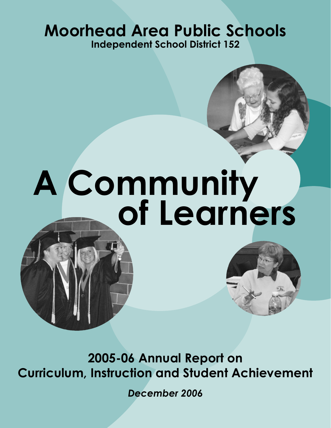### **Moorhead Area Public Schools Independent School District 152**



# **of Learners A Community**

**2005-06 Annual Report on Curriculum, Instruction and Student Achievement**

*December 2006*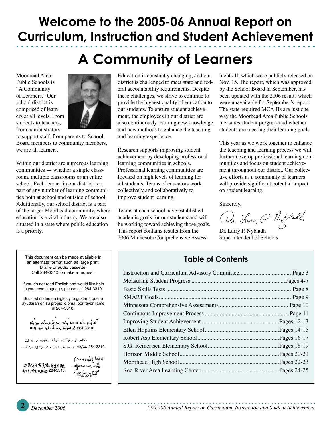### **Welcome to the 2005-06 Annual Report on Curriculum, Instruction and Student Achievement**

### **A Community of Learners**

Moorhead Area Public Schools is "A Community of Learners." Our school district is comprised of learners at all levels. From students to teachers, from administrators



to support staff, from parents to School Board members to community members, we are all learners.

Within our district are numerous learning communities — whether a single classroom, multiple classrooms or an entire school. Each learner in our district is a part of any number of learning communities both at school and outside of school. Additionally, our school district is a part of the larger Moorhead community, where education is a vital industry. We are also situated in a state where public education is a priority.

Education is constantly changing, and our district is challenged to meet state and federal accountability requirements. Despite these challenges, we strive to continue to provide the highest quality of education to our students. To ensure student achievement, the employees in our district are also continuously learning new knowledge and new methods to enhance the teaching and learning experience.

Research supports improving student achievement by developing professional learning communities in schools. Professional learning communities are focused on high levels of learning for all students. Teams of educators work collectively and collaboratively to improve student learning.

Teams at each school have established academic goals for our students and will be working toward achieving those goals. This report contains results from the 2006 Minnesota Comprehensive Assessments-II, which were publicly released on Nov. 15. The report, which was approved by the School Board in September, has been updated with the 2006 results which were unavailable for September's report. The state-required MCA-IIs are just one way the Moorhead Area Public Schools measures student progress and whether students are meeting their learning goals.

This year as we work together to enhance the teaching and learning process we will further develop professional learning communities and focus on student achievement throughout our district. Our collective efforts as a community of learners will provide significant potential impact on student learning.

Sincerely,

Dr. Lang P. Thyladd

Dr. Larry P. Nybladh Superintendent of Schools

#### **Table of Contents**

This document can be made available in an alternate format such as large print, Braille or audio cassette. Call 284-3310 to make a request. If you do not read English and would like help in your own language, please call 284-3310. Si usted no lee en inglés y le gustaría que le ayudaran en su propio idioma, por favor llame al 284-3310. Key ban khone biet doc tieng Anh va muon giup do trong ngôn ngữ cuất ban, xin gọi số 284-3310. ئەتدر ئو بەئىنگىزدا ئوراق پاغىنى، ئورىتەلگت .284-3310 ھەركەل بەربالى خوانا ھىشما ھالدىن ئى ئىم يىن كىلمە:

如果你不懂英语,并需要毕语 **#M. 请打电话后 284-3310.** 

*ຫົວນະ*ຫນອມອັງຄັດຍ່າດ  $\frac{1}{2}$ <br>  $\frac{201}{2}$   $\frac{1}{2}$   $\frac{2}{3}$   $\frac{1}{2}$   $\frac{2}{3}$ <br>  $\frac{24}{3}$   $\frac{23}{3}$  10.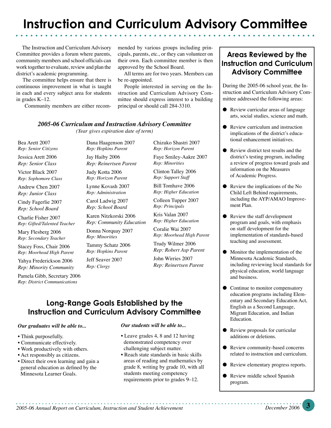### **Instruction and Curriculum Advisory Committee**

 The Instruction and Curriculum Advisory Committee provides a forum where parents, community members and school officials can work together to evaluate, review and plan the district's academic programming.

 The committee helps ensure that there is continuous improvement in what is taught in each and every subject area for students in grades K–12.

Community members are either recom-

mended by various groups including principals, parents, etc., or they can volunteer on their own. Each committee member is then approved by the School Board.

 All terms are for two years. Members can be re-appointed.

 People interested in serving on the Instruction and Curriculum Advisory Committee should express interest to a building principal or should call 284-3310.

#### *2005-06 Curriculum and Instruction Advisory Committee*

*(Year gives expiration date of term)*

Bea Arett 2007 *Rep: Senior Citizens*

Jessica Arett 2006 *Rep: Senior Class*

Victor Black 2007

*Rep: Sophomore Class*

Andrew Chen 2007 *Rep: Junior Class*

Cindy Fagerlie 2007 *Rep: School Board*

Charlie Fisher 2007 *Rep: Gifted/Talented Teacher*

Mary Flesberg 2006 *Rep: Secondary Teacher*

Stacey Foss, Chair 2006 *Rep: Moorhead High Parent*

Yahya Frederickson 2006 *Rep: Minority Community*

Pamela Gibb, Secretary 2006 *Rep: District Communications*

Dana Haagenson 2007 *Rep: Hopkins Parent* Jay Haiby 2006

*Rep: Reinertsen Parent* Judy Kotta 2006

*Rep: Horizon Parent* Lynne Kovash 2007 *Rep: Administration*

Carol Ladwig 2007 *Rep: School Board*

Karen Nitzkorski 2006 *Rep: Community Education*

Donna Norquay 2007

*Rep: Minorities* Tammy Schatz 2006 *Rep: Hopkins Parent*

Jeff Seaver 2007 *Rep: Clergy*

Chizuko Shastri 2007 *Rep: Horizon Parent* Faye Smiley-Aakre 2007

*Rep: Minorities*

Clinton Talley 2006 *Rep: Support Staff*

Bill Tomhave 2006 *Rep: Higher Education*

Colleen Tupper 2007 *Rep: Principals*

Kris Valan 2007 *Rep: Higher Education*

Coralie Wai 2007 *Rep: Moorhead High Parent*

Trudy Wilmer 2006 *Rep: Robert Asp Parent* John Wirries 2007 *Rep: Reinertsen Parent*

#### **Long-Range Goals Established by the Instruction and Curriculum Advisory Committee**

#### *Our graduates will be able to...*

- Think purposefully.
- Communicate effectively.
- Work productively with others.
- Act responsibly as citizens.
- Direct their own learning and gain a general education as defined by the Minnesota Learner Goals.

#### *Our students will be able to...*

- Leave grades 4, 8 and 12 having demonstrated competency over challenging subject matter.
- Reach state standards in basic skills areas of reading and mathematics by grade 8, writing by grade 10, with all students meeting competency requirements prior to grades 9–12.

#### **Areas Reviewed by the Instruction and Curriculum Advisory Committee**

During the 2005-06 school year, the Instruction and Curriculum Advisory Committee addressed the following areas:

- Review curricular areas of language arts, social studies, science and math.
- Review curriculum and instruction implications of the district's educational enhancement initiatives.
- Review district test results and the district's testing program, including a review of progress toward goals and information on the Measures of Academic Progress.
- Review the implications of the No Child Left Behind requirements, including the AYP/AMAO Improvement Plan.
- Review the staff development program and goals, with emphasis on staff development for the implementation of standards-based teaching and assessment.
- Monitor the implementation of the Minnesota Academic Standards, including reviewing local standards for physical education, world language and business.
- Continue to monitor compensatory education programs including Elementary and Secondary Education Act, English as a Second Language, Migrant Education, and Indian Education.
- Review proposals for curricular additions or deletions.
- Review community-based concerns related to instruction and curriculum.
- Review elementary progress reports.
- Review middle school Spanish program.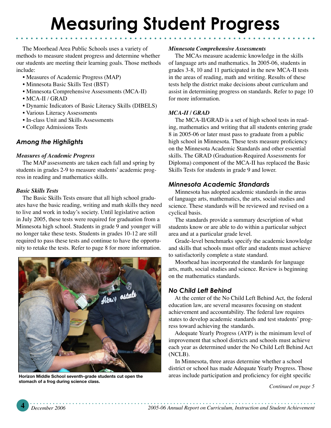The Moorhead Area Public Schools uses a variety of methods to measure student progress and determine whether our students are meeting their learning goals. Those methods include:

- Measures of Academic Progress (MAP)
- Minnesota Basic Skills Test (BST)
- Minnesota Comprehensive Assessments (MCA-II)
- MCA-II / GRAD
- Dynamic Indicators of Basic Literacy Skills (DIBELS)
- Various Literacy Assessments
- In-class Unit and Skills Assessments
- College Admissions Tests

#### *Among the Highlights*

#### *Measures of Academic Progress*

The MAP assessments are taken each fall and spring by students in grades 2-9 to measure students' academic progress in reading and mathematics skills.

#### *Basic Skills Tests*

The Basic Skills Tests ensure that all high school graduates have the basic reading, writing and math skills they need to live and work in today's society. Until legislative action in July 2005, these tests were required for graduation from a Minnesota high school. Students in grade 9 and younger will no longer take these tests. Students in grades 10-12 are still required to pass these tests and continue to have the opportunity to retake the tests. Refer to page 8 for more information.



**Horizon Middle School seventh-grade students cut open the stomach of a frog during science class.** 

#### *Minnesota Comprehensive Assessments*

The MCAs measure academic knowledge in the skills of language arts and mathematics. In 2005-06, students in grades 3-8, 10 and 11 participated in the new MCA-II tests in the areas of reading, math and writing. Results of these tests help the district make decisions about curriculum and assist in determining progress on standards. Refer to page 10 for more information.

#### *MCA-II / GRAD*

The MCA-II/GRAD is a set of high school tests in reading, mathematics and writing that all students entering grade 8 in 2005-06 or later must pass to graduate from a public high school in Minnesota. These tests measure proficiency on the Minnesota Academic Standards and other essential skills. The GRAD (Graduation-Required Assessments for Diploma) component of the MCA-II has replaced the Basic Skills Tests for students in grade 9 and lower.

#### *Minnesota Academic Standards*

 Minnesota has adopted academic standards in the areas of language arts, mathematics, the arts, social studies and science. These standards will be reviewed and revised on a cyclical basis.

 The standards provide a summary description of what students know or are able to do within a particular subject area and at a particular grade level.

 Grade-level benchmarks specify the academic knowledge and skills that schools must offer and students must achieve to satisfactorily complete a state standard.

 Moorhead has incorporated the standards for language arts, math, social studies and science. Review is beginning on the mathematics standards.

#### *No Child Left Behind*

At the center of the No Child Left Behind Act, the federal education law, are several measures focusing on student achievement and accountability. The federal law requires states to develop academic standards and test students' progress toward achieving the standards.

Adequate Yearly Progress (AYP) is the minimum level of improvement that school districts and schools must achieve each year as determined under the No Child Left Behind Act (NCLB).

In Minnesota, three areas determine whether a school district or school has made Adequate Yearly Progress. Those areas include participation and proficiency for eight specific

*Continued on page 5*

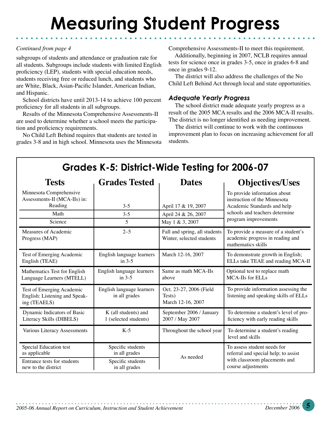#### *Continued from page 4*

subgroups of students and attendance or graduation rate for all students. Subgroups include students with limited English proficiency (LEP), students with special education needs, students receiving free or reduced lunch, and students who are White, Black, Asian-Pacific Islander, American Indian, and Hispanic.

School districts have until 2013-14 to achieve 100 percent proficiency for all students in all subgroups.

Results of the Minnesota Comprehensive Assessments-II are used to determine whether a school meets the participation and proficiency requirements.

No Child Left Behind requires that students are tested in grades 3-8 and in high school. Minnesota uses the Minnesota Comprehensive Assessments-II to meet this requirement.

Additionally, beginning in 2007, NCLB requires annual tests for science once in grades 3-5, once in grades 6-8 and once in grades 9-12.

The district will also address the challenges of the No Child Left Behind Act through local and state opportunities.

#### *Adequate Yearly Progress*

The school district made adequate yearly progress as a result of the 2005 MCA results and the 2006 MCA-II results. The district is no longer identified as needing improvement.

The district will continue to work with the continuous improvement plan to focus on increasing achievement for all students.

| Grades K-5: District-Wide Testing for 2006-07                              |                                            |                                                            |                                                                                               |
|----------------------------------------------------------------------------|--------------------------------------------|------------------------------------------------------------|-----------------------------------------------------------------------------------------------|
| <b>Tests</b>                                                               | <b>Grades Tested</b>                       | <b>Dates</b>                                               | <b>Objectives/Uses</b>                                                                        |
| Minnesota Comprehensive<br>Assessments-II (MCA-IIs) in:<br>Reading         | $3 - 5$                                    | April 17 & 19, 2007                                        | To provide information about<br>instruction of the Minnesota<br>Academic Standards and help   |
| Math                                                                       | $3 - 5$                                    | April 24 & 26, 2007                                        | schools and teachers determine                                                                |
| Science                                                                    | 5                                          | May 1 & 3, 2007                                            | program improvements                                                                          |
| Measures of Academic<br>Progress (MAP)                                     | $2 - 5$                                    | Fall and spring, all students<br>Winter, selected students | To provide a measure of a student's<br>academic progress in reading and<br>mathematics skills |
| Test of Emerging Academic                                                  | English language learners                  | March 12-16, 2007                                          | To demonstrate growth in English;                                                             |
| English (TEAE)                                                             | in $3-5$                                   |                                                            | ELLs take TEAE and reading MCA-II                                                             |
| Mathematics Test for English                                               | English language learners                  | Same as math MCA-IIs                                       | Optional test to replace math                                                                 |
| Language Learners (MTELL)                                                  | in $3-5$                                   | above                                                      | MCA-IIs for ELLs                                                                              |
| Test of Emerging Academic<br>English: Listening and Speak-<br>ing (TEAELS) | English language learners<br>in all grades | Oct. 23-27, 2006 (Field<br>Tests)<br>March 12-16, 2007     | To provide information assessing the<br>listening and speaking skills of ELLs                 |
| Dynamic Indicators of Basic                                                | K (all students) and                       | September 2006 / January                                   | To determine a student's level of pro-                                                        |
| Literacy Skills (DIBELS)                                                   | 1 (selected students)                      | 2007 / May 2007                                            | ficiency with early reading skills                                                            |
| Various Literacy Assessments                                               | $K-5$                                      | Throughout the school year                                 | To determine a student's reading<br>level and skills                                          |
| Special Education test                                                     | Specific students                          | As needed                                                  | To assess student needs for                                                                   |
| as applicable                                                              | in all grades                              |                                                            | referral and special help; to assist                                                          |
| Entrance tests for students                                                | Specific students                          |                                                            | with classroom placements and                                                                 |
| new to the district                                                        | in all grades                              |                                                            | course adjustments                                                                            |

**4** *December 2006 2005-06 Annual Report on Curriculum, Instruction and Student Achievement 2005-06 Annual Report on Curriculum, Instruction and Student Achievement**December 2006* **5**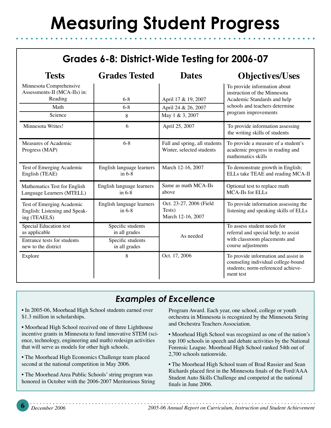#### **Grades 6-8: District-Wide Testing for 2006-07**

| <b>Tests</b>                                                               | <b>Grades Tested</b>                  | <b>Dates</b>                                               | <b>Objectives/Uses</b>                                                                                                         |
|----------------------------------------------------------------------------|---------------------------------------|------------------------------------------------------------|--------------------------------------------------------------------------------------------------------------------------------|
| Minnesota Comprehensive<br>Assessments-II (MCA-IIs) in:                    |                                       |                                                            | To provide information about<br>instruction of the Minnesota                                                                   |
| Reading                                                                    | $6 - 8$                               | April 17 & 19, 2007                                        | Academic Standards and help                                                                                                    |
| Math                                                                       | $6 - 8$                               | April 24 & 26, 2007                                        | schools and teachers determine                                                                                                 |
| Science                                                                    | 8                                     | May 1 & 3, 2007                                            | program improvements                                                                                                           |
| Minnesota Writes!                                                          | 6                                     | April 25, 2007                                             | To provide information assessing<br>the writing skills of students                                                             |
| Measures of Academic<br>Progress (MAP)                                     | $6 - 8$                               | Fall and spring, all students<br>Winter, selected students | To provide a measure of a student's<br>academic progress in reading and<br>mathematics skills                                  |
| Test of Emerging Academic<br>English (TEAE)                                | English language learners<br>in $6-8$ | March 12-16, 2007                                          | To demonstrate growth in English;<br>ELLs take TEAE and reading MCA-II                                                         |
| Mathematics Test for English<br>Language Learners (MTELL)                  | English language learners<br>in $6-8$ | Same as math MCA-IIs<br>above                              | Optional test to replace math<br>MCA-IIs for ELLs                                                                              |
| Test of Emerging Academic<br>English: Listening and Speak-<br>ing (TEAELS) | English language learners<br>in $6-8$ | Oct. 23-27, 2006 (Field<br>Tests)<br>March 12-16, 2007     | To provide information assessing the<br>listening and speaking skills of ELLs                                                  |
| Special Education test<br>as applicable                                    | Specific students<br>in all grades    | As needed                                                  | To assess student needs for<br>referral and special help; to assist                                                            |
| Entrance tests for students<br>new to the district                         | Specific students<br>in all grades    |                                                            | with classroom placements and<br>course adjustments                                                                            |
| Explore                                                                    | 8                                     | Oct. 17, 2006                                              | To provide information and assist in<br>counseling individual college-bound<br>students; norm-referenced achieve-<br>ment test |

#### *Examples of Excellence*

• In 2005-06, Moorhead High School students earned over \$1.3 million in scholarships.

• Moorhead High School received one of three Lighthouse incentive grants in Minnesota to fund innovative STEM (science, technology, engineering and math) redesign activities that will serve as models for other high schools.

• The Moorhead High Economics Challenge team placed second at the national competition in May 2006.

• The Moorhead Area Public Schools' string program was honored in October with the 2006-2007 Meritorious String Program Award. Each year, one school, college or youth orchestra in Minnesota is recognized by the Minnesota String and Orchestra Teachers Association.

• Moorhead High School was recognized as one of the nation's top 100 schools in speech and debate activities by the National Forensic League. Moorhead High School ranked 54th out of 2,700 schools nationwide.

• The Moorhead High School team of Brad Rassier and Sean Richards placed first in the Minnesota finals of the Ford/AAA Student Auto Skills Challenge and competed at the national finals in June 2006.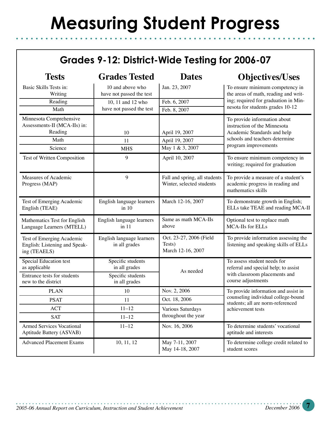#### **Grades 9-12: District-Wide Testing for 2006-07**

| <b>Tests</b>                                                               | <b>Grades Tested</b>                         | <b>Dates</b>                                               | <b>Objectives/Uses</b>                                                                        |
|----------------------------------------------------------------------------|----------------------------------------------|------------------------------------------------------------|-----------------------------------------------------------------------------------------------|
| Basic Skills Tests in:<br>Writing                                          | 10 and above who<br>have not passed the test | Jan. 23, 2007                                              | To ensure minimum competency in<br>the areas of math, reading and writ-                       |
| Reading                                                                    | 10, 11 and 12 who                            | Feb. 6, 2007                                               | ing; required for graduation in Min-                                                          |
| Math                                                                       | have not passed the test                     | Feb. 8, 2007                                               | nesota for students grades 10-12                                                              |
| Minnesota Comprehensive<br>Assessments-II (MCA-IIs) in:<br>Reading         | 10                                           | April 19, 2007                                             | To provide information about<br>instruction of the Minnesota<br>Academic Standards and help   |
| Math                                                                       | 11                                           | April 19, 2007                                             | schools and teachers determine                                                                |
| Science                                                                    | <b>MHS</b>                                   | May 1 & 3, 2007                                            | program improvements                                                                          |
| Test of Written Composition                                                | 9                                            | April 10, 2007                                             | To ensure minimum competency in<br>writing; required for graduation                           |
| Measures of Academic<br>Progress (MAP)                                     | 9                                            | Fall and spring, all students<br>Winter, selected students | To provide a measure of a student's<br>academic progress in reading and<br>mathematics skills |
| Test of Emerging Academic<br>English (TEAE)                                | English language learners<br>in 10           | March 12-16, 2007                                          | To demonstrate growth in English;<br>ELLs take TEAE and reading MCA-II                        |
| Mathematics Test for English<br>Language Learners (MTELL)                  | English language learners<br>in 11           | Same as math MCA-IIs<br>above                              | Optional test to replace math<br>MCA-IIs for ELLs                                             |
| Test of Emerging Academic<br>English: Listening and Speak-<br>ing (TEAELS) | English language learners<br>in all grades   | Oct. 23-27, 2006 (Field<br>Tests)<br>March 12-16, 2007     | To provide information assessing the<br>listening and speaking skills of ELLs                 |
| Special Education test<br>as applicable                                    | Specific students<br>in all grades           | As needed                                                  | To assess student needs for<br>referral and special help; to assist                           |
| Entrance tests for students<br>new to the district                         | Specific students<br>in all grades           |                                                            | with classroom placements and<br>course adjustments                                           |
| <b>PLAN</b>                                                                | 10                                           | Nov. 2, 2006                                               | To provide information and assist in                                                          |
| <b>PSAT</b>                                                                | 11                                           | Oct. 18, 2006                                              | counseling individual college-bound<br>students; all are norm-referenced                      |
| <b>ACT</b>                                                                 | $11 - 12$                                    | Various Saturdays                                          | achievement tests                                                                             |
| <b>SAT</b>                                                                 | $11 - 12$                                    | throughout the year                                        |                                                                                               |
| <b>Armed Services Vocational</b><br>Aptitude Battery (ASVAB)               | $11 - 12$                                    | Nov. 16, 2006                                              | To determine students' vocational<br>aptitude and interests                                   |
| <b>Advanced Placement Exams</b>                                            | 10, 11, 12                                   | May 7-11, 2007<br>May 14-18, 2007                          | To determine college credit related to<br>student scores                                      |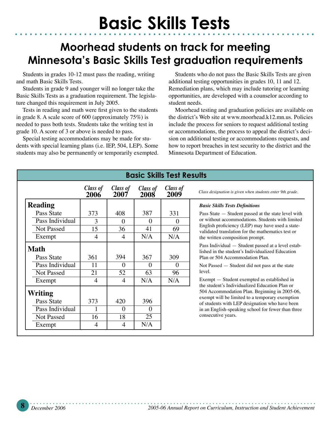### **Moorhead students on track for meeting Minnesota's Basic Skills Test graduation requirements**

Students in grades 10-12 must pass the reading, writing and math Basic Skills Tests.

Students in grade 9 and younger will no longer take the Basic Skills Tests as a graduation requirement. The legislature changed this requirement in July 2005.

Tests in reading and math were first given to the students in grade 8. A scale score of 600 (approximately 75%) is needed to pass both tests. Students take the writing test in grade 10. A score of 3 or above is needed to pass.

Special testing accommodations may be made for students with special learning plans (i.e. IEP, 504, LEP). Some students may also be permanently or temporarily exempted.

Students who do not pass the Basic Skills Tests are given additional testing opportunities in grades 10, 11 and 12. Remediation plans, which may include tutoring or learning opportunities, are developed with a counselor according to student needs.

Moorhead testing and graduation policies are available on the district's Web site at www.moorhead.k12.mn.us. Policies include the process for seniors to request additional testing or accommodations, the process to appeal the district's decision on additional testing or accommodations requests, and how to report breaches in test security to the district and the Minnesota Department of Education.

| <b>Basic Skills Test Results</b> |                  |                  |                  |                  |                                                                                                        |
|----------------------------------|------------------|------------------|------------------|------------------|--------------------------------------------------------------------------------------------------------|
|                                  | Class of<br>2006 | Class of<br>2007 | Class of<br>2008 | Class of<br>2009 | Class designation is given when students enter 9th grade.                                              |
| <b>Reading</b>                   |                  |                  |                  |                  | <b>Basic Skills Tests Definitions</b>                                                                  |
| Pass State                       | 373              | 408              | 387              | 331              | Pass State - Student passed at the state level with                                                    |
| Pass Individual                  | 3                | $\Omega$         | $\Omega$         | $\Omega$         | or without accommodations. Students with limited                                                       |
| <b>Not Passed</b>                | 15               | 36               | 41               | 69               | English proficiency (LEP) may have used a state-<br>validated translation for the mathematics test or  |
| Exempt                           | 4                | $\overline{4}$   | N/A              | N/A              | the written composition prompt.                                                                        |
| <b>Math</b>                      |                  |                  |                  |                  | Pass Individual — Student passed at a level estab-<br>lished in the student's Individualized Education |
| Pass State                       | 361              | 394              | 367              | 309              | Plan or 504 Accommodation Plan.                                                                        |
| Pass Individual                  | 11               | $\Omega$         | 0                | $\Omega$         | Not Passed $-$ Student did not pass at the state                                                       |
| <b>Not Passed</b>                | 21               | 52               | 63               | 96               | level.                                                                                                 |
| Exempt                           | 4                | $\overline{4}$   | N/A              | N/A              | Exempt - Student exempted as established in<br>the student's Individualized Education Plan or          |
| <b>Writing</b>                   |                  |                  |                  |                  | 504 Accommodation Plan. Beginning in 2005-06,                                                          |
| Pass State                       | 373              | 420              | 396              |                  | exempt will be limited to a temporary exemption<br>of students with LEP designation who have been      |
| Pass Individual                  | 1                | $\Omega$         | $\Omega$         |                  | in an English-speaking school for fewer than three                                                     |
| <b>Not Passed</b>                | 16               | 18               | 25               |                  | consecutive years.                                                                                     |
| Exempt                           | $\overline{4}$   | $\overline{4}$   | N/A              |                  |                                                                                                        |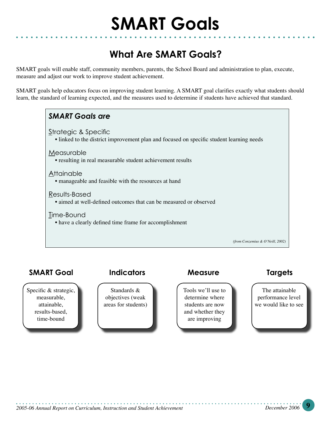#### **What Are SMART Goals?**

SMART goals will enable staff, community members, parents, the School Board and administration to plan, execute, measure and adjust our work to improve student achievement.

SMART goals help educators focus on improving student learning. A SMART goal clarifies exactly what students should learn, the standard of learning expected, and the measures used to determine if students have achieved that standard.



#### **SMART Goal Indicators Measure Targets**

Specific & strategic, measurable, attainable, results-based, time-bound

Standards & objectives (weak areas for students)

Tools we'll use to determine where students are now and whether they are improving

The attainable performance level we would like to see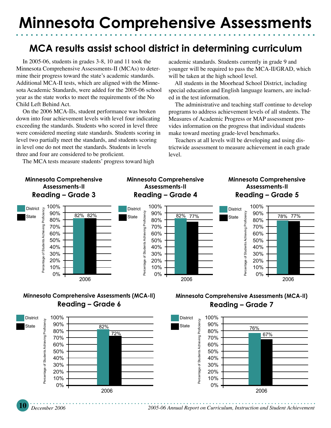### **Minnesota Comprehensive Assessments**

#### **MCA results assist school district in determining curriculum**

In 2005-06, students in grades 3-8, 10 and 11 took the Minnesota Comprehensive Assessments-II (MCAs) to determine their progress toward the state's academic standards. Additional MCA-II tests, which are aligned with the Minnesota Academic Standards, were added for the 2005-06 school year as the state works to meet the requirements of the No Child Left Behind Act.

On the 2006 MCA-IIs, student performance was broken down into four achievement levels with level four indicating exceeding the standards. Students who scored in level three were considered meeting state standards. Students scoring in level two partially meet the standards, and students scoring in level one do not meet the standards. Students in levels three and four are considered to be proficient.

The MCA tests measure students' progress toward high

academic standards. Students currently in grade 9 and younger will be required to pass the MCA-II/GRAD, which will be taken at the high school level.

All students in the Moorhead School District, including special education and English language learners, are included in the test information.

The administrative and teaching staff continue to develop programs to address achievement levels of all students. The Measures of Academic Progress or MAP assessment provides information on the progress that individual students make toward meeting grade-level benchmarks.

Teachers at all levels will be developing and using districtwide assessment to measure achievement in each grade level.

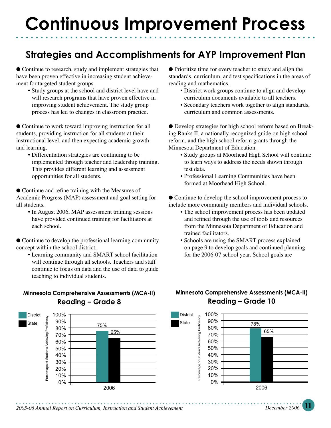### **Strategies and Accomplishments for AYP Improvement Plan**

● Continue to research, study and implement strategies that have been proven effective in increasing student achievement for targeted student groups.

 **•** Study groups at the school and district level have and will research programs that have proven effective in improving student achievement. The study group process has led to changes in classroom practice.

● Continue to work toward improving instruction for all students, providing instruction for all students at their instructional level, and then expecting academic growth and learning.

 • Differentiation strategies are continuing to be implemented through teacher and leadership training. This provides different learning and assessment opportunities for all students.

● Continue and refine training with the Measures of Academic Progress (MAP) assessment and goal setting for all students.

• In August 2006, MAP assessment training sessions have provided continued training for facilitators at each school.

● Continue to develop the professional learning community concept within the school district.

 • Learning community and SMART school facilitation will continue through all schools. Teachers and staff continue to focus on data and the use of data to guide teaching to individual students.

#### **Minnesota Comprehensive Assessments (MCA-II) Reading – Grade 8**



- District work groups continue to align and develop curriculum documents available to all teachers.
- Secondary teachers work together to align standards, curriculum and common assessments.

● Develop strategies for high school reform based on Breaking Ranks II, a nationally recognized guide on high school reform, and the high school reform grants through the Minnesota Department of Education.

- Study groups at Moorhead High School will continue to learn ways to address the needs shown through test data.
- Professional Learning Communities have been formed at Moorhead High School.

● Continue to develop the school improvement process to include more community members and individual schools.

- The school improvement process has been updated and refined through the use of tools and resources from the Minnesota Department of Education and trained facilitators.
- Schools are using the SMART process explained on page 9 to develop goals and continued planning for the 2006-07 school year. School goals are

#### **Minnesota Comprehensive Assessments (MCA-II) Reading – Grade 10**

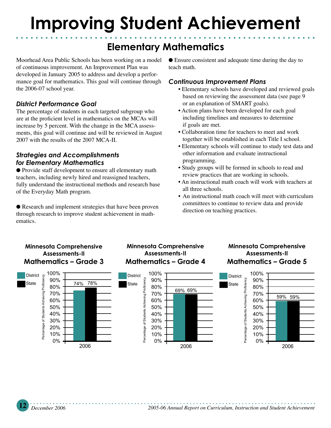### **Improving Student Achievement**

### **Elementary Mathematics**

Moorhead Area Public Schools has been working on a model of continuous improvement. An Improvement Plan was developed in January 2005 to address and develop a performance goal for mathematics. This goal will continue through the 2006-07 school year.

#### *District Performance Goal*

The percentage of students in each targeted subgroup who are at the proficient level in mathematics on the MCAs will increase by 5 percent. With the change in the MCA assessments, this goal will continue and will be reviewed in August 2007 with the results of the 2007 MCA-II.

#### *Strategies and Accomplishments for Elementary Mathematics*

● Provide staff development to ensure all elementary math teachers, including newly hired and reassigned teachers, fully understand the instructional methods and research base of the Everyday Math program.

● Research and implement strategies that have been proven through research to improve student achievement in mathematics.

● Ensure consistent and adequate time during the day to teach math.

#### *Continuous Improvement Plans*

- Elementary schools have developed and reviewed goals based on reviewing the assessment data (see page 9 or an explanation of SMART goals).
- Action plans have been developed for each goal including timelines and measures to determine if goals are met.
- Collaboration time for teachers to meet and work together will be established in each Title I school.
- Elementary schools will continue to study test data and other information and evaluate instructional programming.
- Study groups will be formed in schools to read and review practices that are working in schools.
- An instructional math coach will work with teachers at all three schools.
- An instructional math coach will meet with curriculum committees to continue to review data and provide direction on teaching practices.



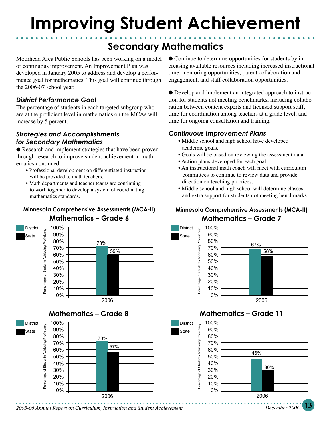### **Improving Student Achievement**

### **Secondary Mathematics**

Moorhead Area Public Schools has been working on a model of continuous improvement. An Improvement Plan was developed in January 2005 to address and develop a performance goal for mathematics. This goal will continue through the 2006-07 school year.

#### *District Performance Goal*

The percentage of students in each targeted subgroup who are at the proficient level in mathematics on the MCAs will increase by 5 percent.

#### *Strategies and Accomplishments for Secondary Mathematics*

● Research and implement strategies that have been proven through research to improve student achievement in mathematics continued.

- Professional development on differentiated instruction will be provided to math teachers.
- Math departments and teacher teams are continuing to work together to develop a system of coordinating mathematics standards.

#### **Minnesota Comprehensive Assessments (MCA-II) Mathematics – Grade 6**







• Continue to determine opportunities for students by increasing available resources including increased instructional time, mentoring opportunities, parent collaboration and engagement, and staff collaboration opportunities.

● Develop and implement an integrated approach to instruction for students not meeting benchmarks, including collaboration between content experts and licensed support staff, time for coordination among teachers at a grade level, and time for ongoing consultation and training.

#### *Continuous Improvement Plans*

- Middle school and high school have developed academic goals.
- Goals will be based on reviewing the assessment data.
- Action plans developed for each goal.
- An instructional math coach will meet with curriculum committees to continue to review data and provide direction on teaching practices.
- Middle school and high school will determine classes and extra support for students not meeting benchmarks.

#### **Minnesota Comprehensive Assessments (MCA-II) Mathematics – Grade 7**



#### **Mathematics – Grade 11**



**12** *December 2006 2005-06 Annual Report on Curriculum, Instruction and Student Achievement 2005-06 Annual Report on Curriculum, Instruction and Student Achievement**December 2006* **13**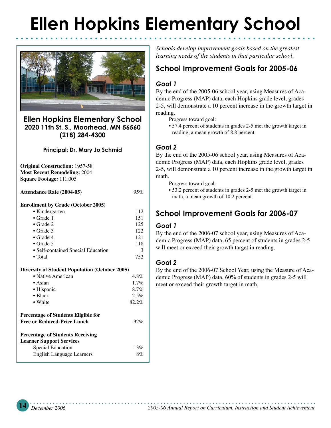# **Ellen Hopkins Elementary School**



#### **Ellen Hopkins Elementary School 2020 11th St. S., Moorhead, MN 56560 (218) 284-4300**

#### **Principal: Dr. Mary Jo Schmid**

**Original Construction:** 1957-58 **Most Recent Remodeling:** 2004 **Square Footage:** 111,005

**Attendance Rate (2004-05)** 95%

#### **Enrollment by Grade (October 2005)**

| • Kindergarten                                        | 112     |
|-------------------------------------------------------|---------|
| $\bullet$ Grade 1                                     | 151     |
| $\bullet$ Grade 2                                     | 125     |
| $\bullet$ Grade 3                                     | 122     |
| $\bullet$ Grade 4                                     | 121     |
| $\bullet$ Grade 5                                     | 118     |
| • Self-contained Special Education                    | 3       |
| $\bullet$ Total                                       | 752     |
| <b>Diversity of Student Population (October 2005)</b> |         |
| • Native American                                     | $4.8\%$ |
| $\bullet$ Asian                                       | 1.7%    |
| • Hispanic                                            | 8.7%    |
| $\bullet$ Black                                       | 2.5%    |
| • White                                               | 82.2%   |
| <b>Percentage of Students Eligible for</b>            |         |
| <b>Free or Reduced-Price Lunch</b>                    | 32%     |
| <b>Percentage of Students Receiving</b>               |         |
| <b>Learner Support Services</b>                       |         |

| ner Support Services      |       |
|---------------------------|-------|
| Special Education         | 13%   |
| English Language Learners | $8\%$ |

*Schools develop improvement goals based on the greatest learning needs of the students in that particular school.*

#### **School Improvement Goals for 2005-06**

#### *Goal 1*

By the end of the 2005-06 school year, using Measures of Academic Progress (MAP) data, each Hopkins grade level, grades 2-5, will demonstrate a 10 percent increase in the growth target in reading.

Progress toward goal:

• 57.4 percent of students in grades 2-5 met the growth target in reading, a mean growth of 8.8 percent.

#### *Goal 2*

By the end of the 2005-06 school year, using Measures of Academic Progress (MAP) data, each Hopkins grade level, grades 2-5, will demonstrate a 10 percent increase in the growth target in math.

Progress toward goal:

• 53.2 percent of students in grades 2-5 met the growth target in math, a mean growth of 10.2 percent.

#### **School Improvement Goals for 2006-07**

#### *Goal 1*

By the end of the 2006-07 school year, using Measures of Academic Progress (MAP) data, 65 percent of students in grades 2-5 will meet or exceed their growth target in reading.

#### *Goal 2*

By the end of the 2006-07 School Year, using the Measure of Academic Progress (MAP) data, 60% of students in grades 2-5 will meet or exceed their growth target in math.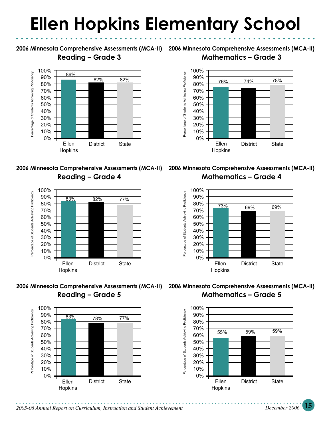# **Ellen Hopkins Elementary School**

**Reading – Grade 3**











**2006 Minnesota Comprehensive Assessments (MCA-II) 2006 Minnesota Comprehensive Assessments (MCA-II) Mathematics – Grade 3**



**2006 Minnesota Comprehensive Assessments (MCA-II) 2006 Minnesota Comprehensive Assessments (MCA-II) Mathematics – Grade 4**



**2006 Minnesota Comprehensive Assessments (MCA-II) 2006 Minnesota Comprehensive Assessments (MCA-II) Mathematics – Grade 5**

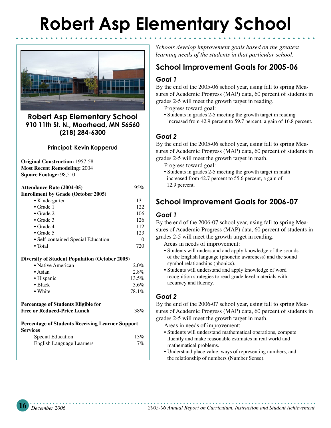## **Robert Asp Elementary School**



#### **Robert Asp Elementary School 910 11th St. N., Moorhead, MN 56560 (218) 284-6300**

#### **Principal: Kevin Kopperud**

**Original Construction:** 1957-58 **Most Recent Remodeling:** 2004 **Square Footage:** 98,510

| <b>Attendance Rate (2004-05)</b>          | 95%               |
|-------------------------------------------|-------------------|
| <b>Enrollment by Grade (October 2005)</b> |                   |
| • Kindergarten                            | 131               |
| $\bullet$ Grade 1                         | 122               |
| $\bullet$ Grade 2                         | 106               |
| $\bullet$ Grade 3                         | 126               |
| $\bullet$ Grade 4                         | 112               |
| $\bullet$ Grade 5                         | 123               |
| • Self-contained Special Education        | $\mathbf{\Omega}$ |
| $\bullet$ Total                           | 720               |

#### **Diversity of Student Population (October 2005)**

| • Native American | 2.0%     |
|-------------------|----------|
| $\bullet$ Asian   | $2.8\%$  |
| • Hispanic        | $13.5\%$ |
| $\bullet$ Black   | 3.6%     |
| • White           | 78.1%    |

#### **Percentage of Students Eligible for Free or Reduced-Price Lunch** 38%

#### **Percentage of Students Receiving Learner Support Services**

| Special Education                | 13%   |
|----------------------------------|-------|
| <b>English Language Learners</b> | $7\%$ |

*Schools develop improvement goals based on the greatest learning needs of the students in that particular school.*

#### **School Improvement Goals for 2005-06**

#### *Goal 1*

By the end of the 2005-06 school year, using fall to spring Measures of Academic Progress (MAP) data, 60 percent of students in grades 2-5 will meet the growth target in reading.

Progress toward goal:

• Students in grades 2-5 meeting the growth target in reading increased from 42.9 percent to 59.7 percent, a gain of 16.8 percent.

#### *Goal 2*

By the end of the 2005-06 school year, using fall to spring Measures of Academic Progress (MAP) data, 60 percent of students in grades 2-5 will meet the growth target in math.

Progress toward goal:

• Students in grades 2-5 meeting the growth target in math increased from 42.7 percent to 55.6 percent, a gain of 12.9 percent.

#### **School Improvement Goals for 2006-07**

#### *Goal 1*

By the end of the 2006-07 school year, using fall to spring Measures of Academic Progress (MAP) data, 60 percent of students in grades 2-5 will meet the growth target in reading.

Areas in needs of improvement:

- Students will understand and apply knowledge of the sounds of the English language (phonetic awareness) and the sound symbol relationships (phonics).
- Students will understand and apply knowledge of word recognition strategies to read grade level materials with accuracy and fluency.

#### *Goal 2*

By the end of the 2006-07 school year, using fall to spring Measures of Academic Progress (MAP) data, 60 percent of students in grades 2-5 will meet the growth target in math.

Areas in needs of improvement:

- Students will understand mathematical operations, compute fluently and make reasonable estimates in real world and mathematical problems.
- Understand place value, ways of representing numbers, and the relationship of numbers (Number Sense).

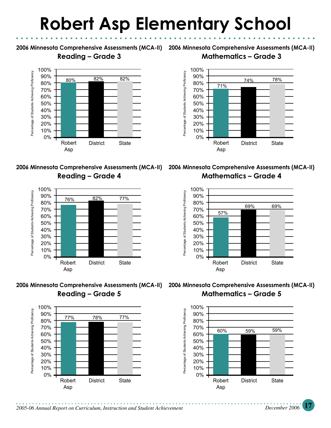### **Robert Asp Elementary School**

**Reading – Grade 3**



**Reading – Grade 4**



**Reading – Grade 5**



**2006 Minnesota Comprehensive Assessments (MCA-II) 2006 Minnesota Comprehensive Assessments (MCA-II) Mathematics – Grade 3**



**2006 Minnesota Comprehensive Assessments (MCA-II) 2006 Minnesota Comprehensive Assessments (MCA-II) Mathematics – Grade 4**



**2006 Minnesota Comprehensive Assessments (MCA-II) 2006 Minnesota Comprehensive Assessments (MCA-II) Mathematics – Grade 5**

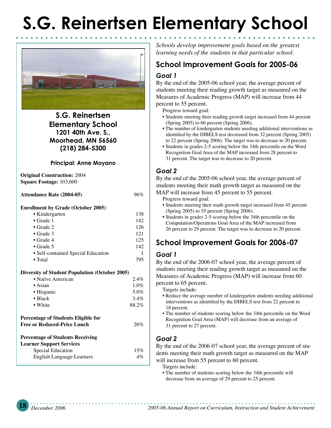# **S.G. Reinertsen Elementary School**



**S.G. Reinertsen Elementary School 1201 40th Ave. S., Moorhead, MN 56560 (218) 284-5300**

#### **Principal: Anne Moyano**

**Original Construction:** 2004 **Square Footage:** 103,600

**Attendance Rate (2004-05)** 96%

#### **Enrollment by Grade (October 2005)**

| • Kindergarten                             | 138 |
|--------------------------------------------|-----|
| $\bullet$ Grade 1                          | 142 |
| $\bullet$ Grade 2                          | 126 |
| $\bullet$ Grade 3                          | 121 |
| $\bullet$ Grade 4                          | 125 |
| $\bullet$ Grade 5                          | 142 |
| • Self-contained Special Education         |     |
| $\bullet$ Total                            | 795 |
|                                            |     |
| rsity of Student Population (October 2005) |     |

#### **Diversity of Student Population**

| • Native American                                                  | $2.4\%$      |
|--------------------------------------------------------------------|--------------|
| $\bullet$ Asian                                                    | $1.0\%$      |
| • Hispanic                                                         | 5.0%         |
| $\bullet$ Black                                                    | $3.4\%$      |
| • White                                                            | 88.2%        |
| Percentage of Students Eligible for<br>Free or Reduced-Price Lunch | 26%          |
| Percentage of Students Receiving                                   |              |
| Learner Support Services                                           |              |
| 0.11111                                                            | 1 <i>E M</i> |

| $\mu$ not bupper bet the $\sigma$ |       |
|-----------------------------------|-------|
| Special Education                 | 15%   |
| English Language Learners         | $4\%$ |

*Schools develop improvement goals based on the greatest learning needs of the students in that particular school.*

#### *Goal 1* **School Improvement Goals for 2005-06**

By the end of the 2005-06 school year, the average percent of students meeting their reading growth target as measured on the Measures of Academic Progress (MAP) will increase from 44 percent to 55 percent.

Progress toward goal:

- Students meeting their reading growth target increased from 44 percent (Spring 2005) to 60 percent (Spring 2006).
- The number of kindergarten students needing additional interventions as identified by the DIBELS test decreased from 32 percent (Spring 2005) to 22 percent (Spring 2006). The target was to decrease to 20 percent.
- Students in grades 2-5 scoring below the 34th percentile on the Word Recognition Goal Area of the MAP increased from 28 percent to 31 percent. The target was to decrease to 20 percent.

#### *Goal 2*

By the end of the 2005-06 school year, the average percent of students meeting their math growth target as measured on the

MAP will increase from 45 percent to 55 percent.

Progress toward goal:

- Students meeting their math growth target increased from 45 percent (Spring 2005) to 55 percent (Spring 2006).
- Students in grades 2-5 scoring below the 34th percentile on the Computation/Operations Goal Area of the MAP increased from 26 percent to 29 percent. The target was to decrease to 20 percent.

#### **School Improvement Goals for 2006-07**

#### *Goal 1*

By the end of the 2006-07 school year, the average percent of students meeting their reading growth target as measured on the Measures of Academic Progress (MAP) will increase from 60 percent to 65 percent.

Targets include:

- Reduce the average number of kindergarten students needing additional interventions as identified by the DIBELS test from 22 percent to 18 percent.
- The number of students scoring below the 34th percentile on the Word Recognition Goal Area (MAP) will decrease from an average of 31 percent to 27 percent.

#### *Goal 2*

By the end of the 2006-07 school year, the average percent of students meeting their math growth target as measured on the MAP will increase from 55 percent to 60 percent.

Targets include:

• The number of students scoring below the 34th percentile will decrease from an average of 29 percent to 25 percent.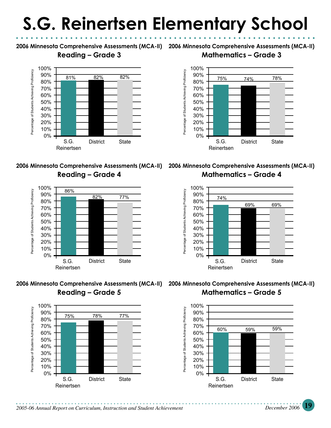# **S.G. Reinertsen Elementary School**

#### **Reading – Grade 3**











**2006 Minnesota Comprehensive Assessments (MCA-II) 2006 Minnesota Comprehensive Assessments (MCA-II)** 

#### **Mathematics – Grade 3**



**2006 Minnesota Comprehensive Assessments (MCA-II) 2006 Minnesota Comprehensive Assessments (MCA-II) Mathematics – Grade 4**



**Mathematics – Grade 5**

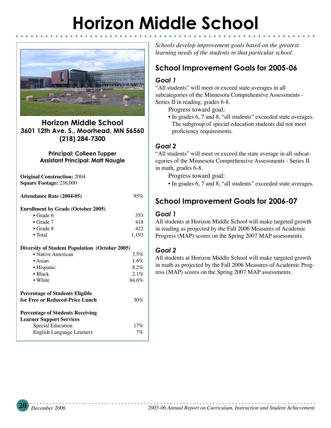# **Horizon Middle School**



**Horizon Middle School 3601 12th Ave. S., Moorhead, MN 56560 (218) 284-7300**

#### **Principal: Colleen Tupper Assistant Principal: Matt Naugle**

**Original Construction:** 2004 **Square Footage:** 238,000

**Attendance Rate (2004-05)** 95%

#### **Enrollment by Grade (October 2005)**

| $\bullet$ Grade 6 | 353   |
|-------------------|-------|
| $\bullet$ Grade 7 | 418   |
| $\bullet$ Grade 8 | 422   |
| $\bullet$ Total   | 1.193 |

#### **Diversity of Student Population (October 2005)**

| • Native American                | 3.5%  |
|----------------------------------|-------|
| $\bullet$ Asian                  | 1.6%  |
| • Hispanic                       | 8.2%  |
| $\bullet$ Black                  | 2.1%  |
| • White                          | 84.6% |
| Percentage of Students Eligible  |       |
| for Free or Reduced-Price Lunch  | 30%   |
| Percentage of Students Receiving |       |
| <b>Learner Support Services</b>  |       |
| Special Education                | 17%   |
| English Language Learners        | 7%    |

*Schools develop improvement goals based on the greatest learning needs of the students in that particular school.*

#### **School Improvement Goals for 2005-06**

#### *Goal 1*

"All students" will meet or exceed state averages in all subcategories of the Minnesota Comprehensive Assessments - Series II in reading, grades 6-8.

Progress toward goal:

• In grades 6, 7 and 8, "all students" exceeded state averages. The subgroup of special education students did not meet proficiency requirements.

#### *Goal 2*

"All students" will meet or exceed the state average in all subcategories of the Minnesota Comprehensive Assessments - Series II in math, grades 6-8.

Progress toward goal:

• In grades 6, 7 and 8, "all students" exceeded state averages.

#### **School Improvement Goals for 2006-07**

#### *Goal 1*

All students at Horizon Middle School will make targeted growth in reading as projected by the Fall 2006 Measures of Academic Progress (MAP) scores on the Spring 2007 MAP assessments.

#### *Goal 2*

All students at Horizon Middle School will make targeted growth in math as projected by the Fall 2006 Measures of Academic Progress (MAP) scores on the Spring 2007 MAP assessments.

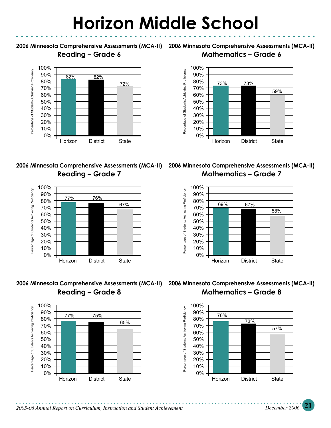### **Horizon Middle School**

#### **Reading – Grade 6**











**2006 Minnesota Comprehensive Assessments (MCA-II) 2006 Minnesota Comprehensive Assessments (MCA-II) Mathematics – Grade 7**







**2006 Minnesota Comprehensive Assessments (MCA-II) 2006 Minnesota Comprehensive Assessments (MCA-II) Mathematics – Grade 8**

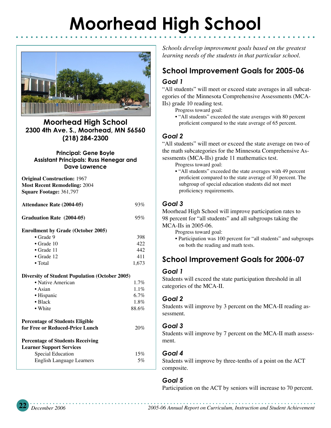# **Moorhead High School**



**Moorhead High School 2300 4th Ave. S., Moorhead, MN 56560 (218) 284-2300**

#### **Principal: Gene Boyle Assistant Principals: Russ Henegar and Dave Lawrence**

**Original Construction:** 1967 **Most Recent Remodeling:** 2004 **Square Footage:** 361,797

**Attendance Rate (2004-05)** 93%

**Graduation Rate (2004-05)** 95%

#### **Enrollment by Grade (October 2005)**

| $\bullet$ Grade 9  | 398   |
|--------------------|-------|
| $\bullet$ Grade 10 | 422.  |
| $\bullet$ Grade 11 | 442.  |
| $\bullet$ Grade 12 | 411   |
| $\bullet$ Total    | 1.673 |

#### **Diversity of Student Population (October 2005)**

| $DIVCI 3IVV 01 51001111 1 01010111111 1 0110101 20007$ |         |
|--------------------------------------------------------|---------|
| • Native American                                      | $1.7\%$ |
| $\bullet$ Asian                                        | $1.1\%$ |
| • Hispanic                                             | $6.7\%$ |
| $\bullet$ Black                                        | $1.8\%$ |
| • White                                                | 88.6%   |
| Percentage of Students Eligible                        |         |
| for Free or Reduced-Price Lunch                        | 20%     |
| Percentage of Students Receiving                       |         |
| Learner Support Services                               |         |
| Special Education                                      | 15%     |
| English Language Learners                              | 5%      |
|                                                        |         |

*Schools develop improvement goals based on the greatest learning needs of the students in that particular school.*

#### **School Improvement Goals for 2005-06**

#### *Goal 1*

"All students" will meet or exceed state averages in all subcategories of the Minnesota Comprehensive Assessments (MCA-IIs) grade 10 reading test.

Progress toward goal:

• "All students" exceeded the state averages with 80 percent proficient compared to the state average of 65 percent.

#### *Goal 2*

"All students" will meet or exceed the state average on two of the math subcategories for the Minnesota Comprehensive Assessments (MCA-IIs) grade 11 mathematics test.

Progress toward goal:

• "All students" exceeded the state averages with 49 percent proficient compared to the state average of 30 percent. The subgroup of special education students did not meet proficiency requirements.

#### *Goal 3*

Moorhead High School will improve participation rates to 98 percent for "all students" and all subgroups taking the MCA-IIs in 2005-06.

- Progress toward goal:
- Participation was 100 percent for "all students" and subgroups on both the reading and math tests.

#### **School Improvement Goals for 2006-07**

#### *Goal 1*

Students will exceed the state participation threshold in all categories of the MCA-II.

#### *Goal 2*

Students will improve by 3 percent on the MCA-II reading assessment.

#### *Goal 3*

Students will improve by 7 percent on the MCA-II math assessment.

#### *Goal 4*

Students will improve by three-tenths of a point on the ACT composite.

#### *Goal 5*

Participation on the ACT by seniors will increase to 70 percent.

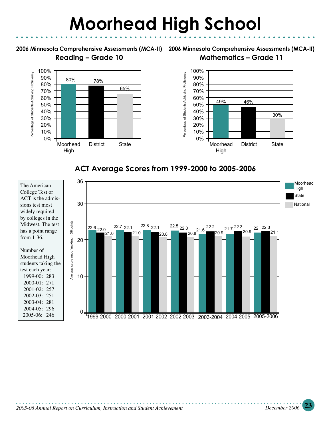### **Moorhead High School**

**Reading – Grade 10**

**2006 Minnesota Comprehensive Assessments (MCA-II) 2006 Minnesota Comprehensive Assessments (MCA-II) Mathematics – Grade 11**





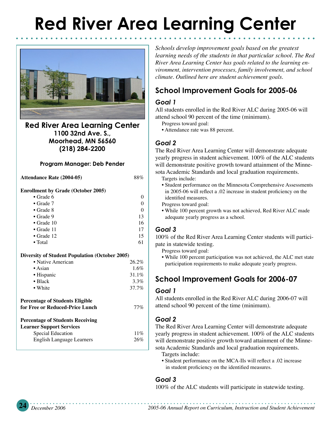# **Red River Area Learning Center**



**Red River Area Learning Center 1100 32nd Ave. S., Moorhead, MN 56560 (218) 284-2200**

#### **Program Manager: Deb Pender**

**Attendance Rate (2004-05)** 88%

#### **Enrollment by Grade (October 2005)**

| $\bullet$ Grade 6  |    |
|--------------------|----|
| $\bullet$ Grade 7  | 0  |
| $\bullet$ Grade 8  | 0  |
| $\bullet$ Grade 9  | 13 |
| $\bullet$ Grade 10 | 16 |
| $\bullet$ Grade 11 | 17 |
| $\bullet$ Grade 12 | 15 |
| $\bullet$ Total    | 61 |

#### **Diversity of Student Population (October 2005)**

| • Native American | $26.2\%$ |
|-------------------|----------|
| $\bullet$ Asian   | $1.6\%$  |
| • Hispanic        | $31.1\%$ |
| $\bullet$ Black   | $3.3\%$  |
| • White           | $37.7\%$ |
|                   |          |

#### **Percentage of Students Eligible for Free or Reduced-Price Lunch** 77%

#### **Percentage of Students Receiving**  Lear

| rner Support Services     |     |
|---------------------------|-----|
| Special Education         | 11% |
| English Language Learners | 26% |

*Schools develop improvement goals based on the greatest learning needs of the students in that particular school. The Red River Area Learning Center has goals related to the learning environment, intervention processes, family involvement, and school climate. Outlined here are student achievement goals.*

#### **School Improvement Goals for 2005-06**

#### *Goal 1*

All students enrolled in the Red River ALC during 2005-06 will attend school 90 percent of the time (minimum).

- Progress toward goal:
- Attendance rate was 88 percent.

#### *Goal 2*

The Red River Area Learning Center will demonstrate adequate yearly progress in student achievement. 100% of the ALC students will demonstrate positive growth toward attainment of the Minnesota Academic Standards and local graduation requirements.

- Targets include:
- Student performance on the Minnesota Comprehensive Assessments in 2005-06 will reflect a .02 increase in student proficiency on the identified measures.
- Progress toward goal:
- While 100 percent growth was not achieved, Red River ALC made adequate yearly progress as a school.

#### *Goal 3*

100% of the Red River Area Learning Center students will participate in statewide testing.

Progress toward goal:

• While 100 percent participation was not achieved, the ALC met state participation requirements to make adequate yearly progress.

#### **School Improvement Goals for 2006-07**

#### *Goal 1*

All students enrolled in the Red River ALC during 2006-07 will attend school 90 percent of the time (minimum).

#### *Goal 2*

The Red River Area Learning Center will demonstrate adequate yearly progress in student achievement. 100% of the ALC students will demonstrate positive growth toward attainment of the Minnesota Academic Standards and local graduation requirements.

- Targets include:
- Student performance on the MCA-IIs will reflect a .02 increase in student proficiency on the identified measures.

#### *Goal 3*

100% of the ALC students will participate in statewide testing.

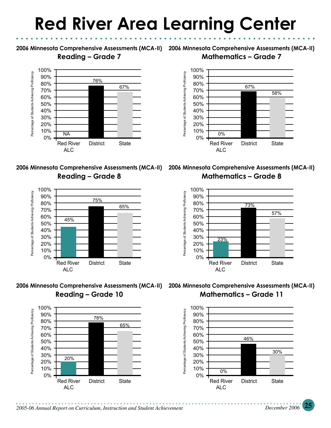### **Red River Area Learning Center**

**Reading – Grade 7**











**2006 Minnesota Comprehensive Assessments (MCA-II) 2006 Minnesota Comprehensive Assessments (MCA-II) Mathematics – Grade 7**



**Mathematics – Grade 8**



**Mathematics – Grade 11**